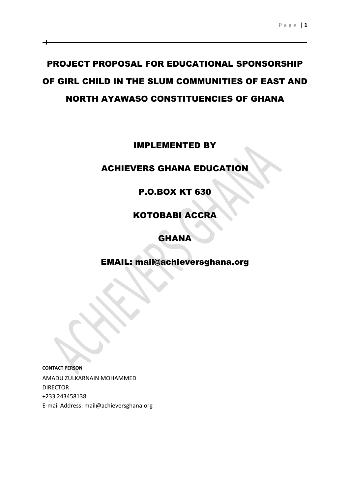# PROJECT PROPOSAL FOR EDUCATIONAL SPONSORSHIP OF GIRL CHILD IN THE SLUM COMMUNITIES OF EAST AND NORTH AYAWASO CONSTITUENCIES OF GHANA

# IMPLEMENTED BY

# ACHIEVERS GHANA EDUCATION

# P.O.BOX KT 630

# KOTOBABI ACCRA

# GHANA

# EMAIL: mail@achieversghana.org

**CONTACT PERSON** AMADU ZULKARNAIN MOHAMMED DIRECTOR +233 243458138 E-mail Address: mail@achieversghana.org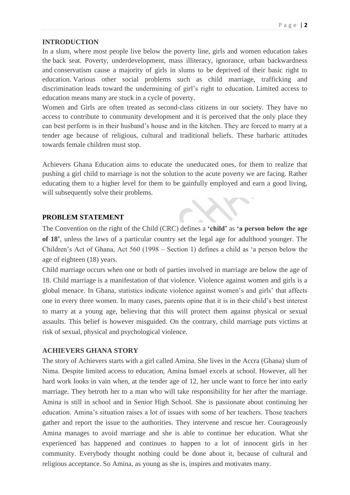#### **INTRODUCTION**

In a slum, where most people live below the poverty line, girls and women education takes the back seat. Poverty, underdevelopment, mass illiteracy, ignorance, urban backwardness and conservatism cause a majority of girls in slums to be deprived of their basic right to education. Various other social problems such as child marriage, trafficking and discrimination leads toward the undermining of girl's right to education. Limited access to education means many are stuck in a cycle of poverty.

Women and Girls are often treated as second-class citizens in our society. They have no access to contribute to community development and it is perceived that the only place they can best perform is in their husband's house and in the kitchen. They are forced to marry at a tender age because of religious, cultural and traditional beliefs. These barbaric attitudes towards female children must stop.

Achievers Ghana Education aims to educate the uneducated ones, for them to realize that pushing a girl child to marriage is not the solution to the acute poverty we are facing. Rather educating them to a higher level for them to be gainfully employed and earn a good living, will subsequently solve their problems.

## **PROBLEM STATEMENT**

The Convention on the right of the Child (CRC) defines a **'child'** as **'a person below the age of 18'**, unless the laws of a particular country set the legal age for adulthood younger. The Children's Act of Ghana, Act 560 (1998 – Section 1) defines a child as 'a person below the age of eighteen (18) years.

Child marriage occurs when one or both of parties involved in marriage are below the age of 18. Child marriage is a manifestation of that violence. Violence against women and girls is a global menace. In Ghana, statistics indicate violence against women's and girls' that affects one in every three women. In many cases, parents opine that it is in their child's best interest to marry at a young age, believing that this will protect them against physical or sexual assaults. This belief is however misguided. On the contrary, child marriage puts victims at risk of sexual, physical and psychological violence.

## **ACHIEVERS GHANA STORY**

The story of Achievers starts with a girl called Amina. She lives in the Accra (Ghana) slum of Nima. Despite limited access to education, Amina Ismael excels at school. However, all her hard work looks in vain when, at the tender age of 12, her uncle want to force her into early marriage. They betroth her to a man who will take responsibility for her after the marriage. Amina is still in school and in Senior High School. She is passionate about continuing her education. Amina's situation raises a lot of issues with some of her teachers. Those teachers gather and report the issue to the authorities. They intervene and rescue her. Courageously Amina manages to avoid marriage and she is able to continue her education. What she experienced has happened and continues to happen to a lot of innocent girls in her community. Everybody thought nothing could be done about it, because of cultural and religious acceptance. So Amina, as young as she is, inspires and motivates many.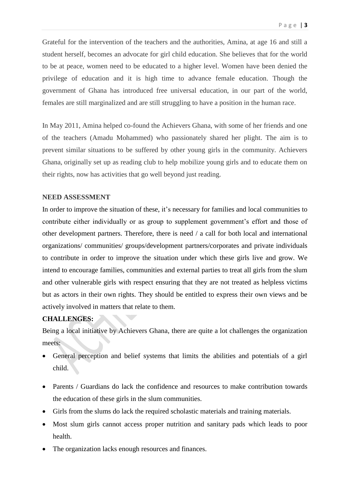Grateful for the intervention of the teachers and the authorities, Amina, at age 16 and still a student herself, becomes an advocate for girl child education. She believes that for the world to be at peace, women need to be educated to a higher level. Women have been denied the privilege of education and it is high time to advance female education. Though the government of Ghana has introduced free universal education, in our part of the world, females are still marginalized and are still struggling to have a position in the human race.

In May 2011, Amina helped co-found the Achievers Ghana, with some of her friends and one of the teachers (Amadu Mohammed) who passionately shared her plight. The aim is to prevent similar situations to be suffered by other young girls in the community. Achievers Ghana, originally set up as reading club to help mobilize young girls and to educate them on their rights, now has activities that go well beyond just reading.

## **NEED ASSESSMENT**

In order to improve the situation of these, it's necessary for families and local communities to contribute either individually or as group to supplement government's effort and those of other development partners. Therefore, there is need / a call for both local and international organizations/ communities/ groups/development partners/corporates and private individuals to contribute in order to improve the situation under which these girls live and grow. We intend to encourage families, communities and external parties to treat all girls from the slum and other vulnerable girls with respect ensuring that they are not treated as helpless victims but as actors in their own rights. They should be entitled to express their own views and be actively involved in matters that relate to them.

## **CHALLENGES:**

Being a local initiative by Achievers Ghana, there are quite a lot challenges the organization meets:

- General perception and belief systems that limits the abilities and potentials of a girl child.
- Parents / Guardians do lack the confidence and resources to make contribution towards the education of these girls in the slum communities.
- Girls from the slums do lack the required scholastic materials and training materials.
- Most slum girls cannot access proper nutrition and sanitary pads which leads to poor health.
- The organization lacks enough resources and finances.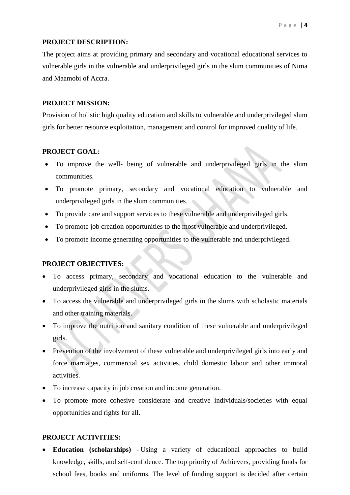## **PROJECT DESCRIPTION:**

The project aims at providing primary and secondary and vocational educational services to vulnerable girls in the vulnerable and underprivileged girls in the slum communities of Nima and Maamobi of Accra.

## **PROJECT MISSION:**

Provision of holistic high quality education and skills to vulnerable and underprivileged slum girls for better resource exploitation, management and control for improved quality of life.

# **PROJECT GOAL:**

- To improve the well- being of vulnerable and underprivileged girls in the slum communities.
- To promote primary, secondary and vocational education to vulnerable and underprivileged girls in the slum communities.
- To provide care and support services to these vulnerable and underprivileged girls.
- To promote job creation opportunities to the most vulnerable and underprivileged.
- To promote income generating opportunities to the vulnerable and underprivileged.

## **PROJECT OBJECTIVES:**

- To access primary, secondary and vocational education to the vulnerable and underprivileged girls in the slums.
- To access the vulnerable and underprivileged girls in the slums with scholastic materials and other training materials.
- To improve the nutrition and sanitary condition of these vulnerable and underprivileged girls.
- Prevention of the involvement of these vulnerable and underprivileged girls into early and force marriages, commercial sex activities, child domestic labour and other immoral activities.
- To increase capacity in job creation and income generation.
- To promote more cohesive considerate and creative individuals/societies with equal opportunities and rights for all.

# **PROJECT ACTIVITIES:**

 **Education (scholarships) -** Using a variety of educational approaches to build knowledge, skills, and self-confidence. The top priority of Achievers, providing funds for school fees, books and uniforms. The level of funding support is decided after certain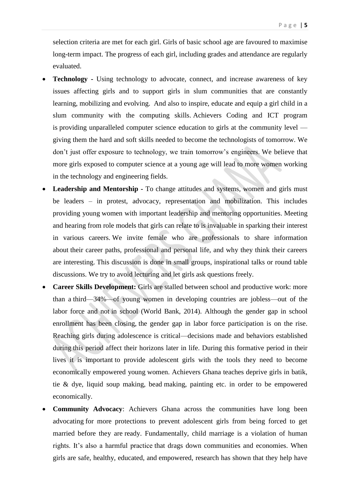selection criteria are met for each girl. Girls of basic school age are favoured to maximise long-term impact. The progress of each girl, including grades and attendance are regularly evaluated.

- **Technology -** Using technology to advocate, connect, and increase awareness of key issues affecting girls and to support girls in slum communities that are constantly learning, mobilizing and evolving. And also to inspire, educate and equip a girl child in a slum community with the computing skills. Achievers Coding and ICT program is providing unparalleled computer science education to girls at the community level giving them the hard and soft skills needed to become the technologists of tomorrow. We don't just offer exposure to technology, we train tomorrow's engineers. We believe that more girls exposed to computer science at a young age will lead to more women working in the technology and engineering fields.
- **Leadership and Mentorship -** To change attitudes and systems, women and girls must be leaders – in protest, advocacy, representation and mobilization. This includes providing young women with important leadership and mentoring opportunities. Meeting and hearing from role models that girls can relate to is invaluable in sparking their interest in various careers. We invite female who are professionals to share information about their career paths, professional and personal life, and why they think their careers are interesting. This discussion is done in small groups, inspirational talks or round table discussions. We try to avoid lecturing and let girls ask questions freely.
- **Career Skills Development:** Girls are stalled between school and productive work: more than a third—34%—of young women in developing countries are jobless—out of the labor force and not in school (World Bank, 2014). Although the gender gap in school enrollment has been closing, the gender gap in labor force participation is on the rise. Reaching girls during adolescence is critical—decisions made and behaviors established during this period affect their horizons later in life. During this formative period in their lives it is important to provide adolescent girls with the tools they need to become economically empowered young women. Achievers Ghana teaches deprive girls in batik, tie & dye, liquid soup making, bead making, painting etc. in order to be empowered economically.
- **Community Advocacy**: Achievers Ghana across the communities have long been advocating for more protections to prevent adolescent girls from being forced to get married before they are ready. Fundamentally, child marriage is a violation of human rights. It's also a harmful practice that drags down communities and economies. When girls are safe, healthy, educated, and empowered, research has shown that they help have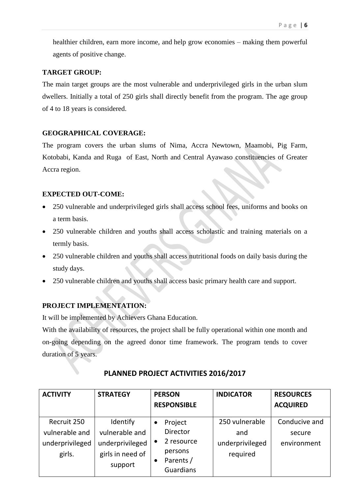healthier children, earn more income, and help grow economies – making them powerful agents of positive change.

## **TARGET GROUP:**

The main target groups are the most vulnerable and underprivileged girls in the urban slum dwellers. Initially a total of 250 girls shall directly benefit from the program. The age group of 4 to 18 years is considered.

# **GEOGRAPHICAL COVERAGE:**

The program covers the urban slums of Nima, Accra Newtown, Maamobi, Pig Farm, Kotobabi, Kanda and Ruga of East, North and Central Ayawaso constituencies of Greater Accra region.

# **EXPECTED OUT-COME:**

- 250 vulnerable and underprivileged girls shall access school fees, uniforms and books on a term basis.
- 250 vulnerable children and youths shall access scholastic and training materials on a termly basis.
- 250 vulnerable children and youths shall access nutritional foods on daily basis during the study days.
- 250 vulnerable children and youths shall access basic primary health care and support.

# **PROJECT IMPLEMENTATION:**

It will be implemented by Achievers Ghana Education.

With the availability of resources, the project shall be fully operational within one month and on-going depending on the agreed donor time framework. The program tends to cover duration of 5 years.

| <b>ACTIVITY</b> | <b>STRATEGY</b>  | <b>PERSON</b>                       | <b>INDICATOR</b> | <b>RESOURCES</b> |  |
|-----------------|------------------|-------------------------------------|------------------|------------------|--|
|                 |                  | <b>RESPONSIBLE</b>                  |                  | <b>ACQUIRED</b>  |  |
| Recruit 250     | Identify         | Project<br>$\bullet$                | 250 vulnerable   | Conducive and    |  |
| vulnerable and  | vulnerable and   | <b>Director</b>                     | and              | secure           |  |
| underprivileged | underprivileged  | 2 resource<br>$\bullet$             | underprivileged  | environment      |  |
| girls.          | girls in need of | persons                             | required         |                  |  |
|                 | support          | Parents /<br>$\bullet$<br>Guardians |                  |                  |  |

# **PLANNED PROJECT ACTIVITIES 2016/2017**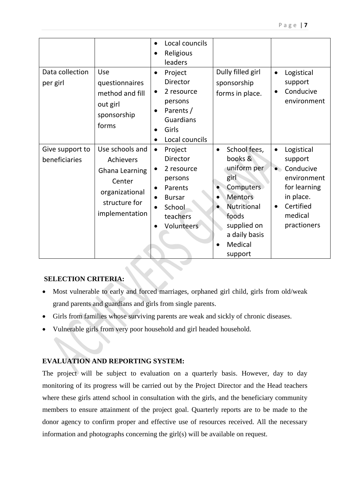| Data collection<br>per girl      | Use<br>questionnaires<br>method and fill<br>out girl<br>sponsorship<br>forms                                  | Local councils<br>$\bullet$<br>Religious<br>leaders<br>Project<br>$\bullet$<br><b>Director</b><br>2 resource<br>$\bullet$<br>persons<br>Parents /<br>Guardians<br>Girls<br>Local councils<br>$\bullet$ | Dully filled girl<br>sponsorship<br>forms in place.                                                                                                                             | Logistical<br>$\bullet$<br>support<br>Conducive<br>$\bullet$<br>environment                                                                     |
|----------------------------------|---------------------------------------------------------------------------------------------------------------|--------------------------------------------------------------------------------------------------------------------------------------------------------------------------------------------------------|---------------------------------------------------------------------------------------------------------------------------------------------------------------------------------|-------------------------------------------------------------------------------------------------------------------------------------------------|
| Give support to<br>beneficiaries | Use schools and<br>Achievers<br>Ghana Learning<br>Center<br>organizational<br>structure for<br>implementation | Project<br>$\bullet$<br>Director<br>2 resource<br>$\bullet$<br>persons<br>Parents<br>$\bullet$<br><b>Bursar</b><br>School<br>teachers<br>Volunteers                                                    | School fees,<br>$\bullet$<br>books &<br>uniform per<br>girl<br>Computers<br><b>Mentors</b><br><b>Nutritional</b><br>foods<br>supplied on<br>a daily basis<br>Medical<br>support | Logistical<br>$\bullet$<br>support<br>Conducive<br>environment<br>for learning<br>in place.<br>Certified<br>$\bullet$<br>medical<br>practioners |

# **SELECTION CRITERIA:**

 Most vulnerable to early and forced marriages, orphaned girl child, girls from old/weak grand parents and guardians and girls from single parents.

 $\mathcal{L}_{\mathcal{S}}$ 

- Girls from families whose surviving parents are weak and sickly of chronic diseases.
- Vulnerable girls from very poor household and girl headed household.

# **EVALUATION AND REPORTING SYSTEM:**

The project will be subject to evaluation on a quarterly basis. However, day to day monitoring of its progress will be carried out by the Project Director and the Head teachers where these girls attend school in consultation with the girls, and the beneficiary community members to ensure attainment of the project goal. Quarterly reports are to be made to the donor agency to confirm proper and effective use of resources received. All the necessary information and photographs concerning the girl(s) will be available on request.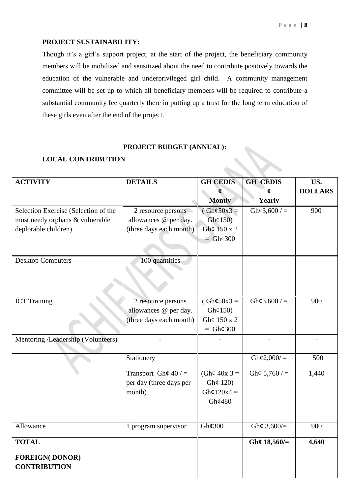# **PROJECT SUSTAINABILITY:**

Though it's a girl's support project, at the start of the project, the beneficiary community members will be mobilized and sensitized about the need to contribute positively towards the education of the vulnerable and underprivileged girl child. A community management committee will be set up to which all beneficiary members will be required to contribute a substantial community fee quarterly there in putting up a trust for the long term education of these girls even after the end of the project.

#### **PROJECT BUDGET (ANNUAL):**

## **LOCAL CONTRIBUTION**

| <b>ACTIVITY</b>                      | <b>DETAILS</b>          | <b>GH CEDIS</b>      | <b>GH CEDIS</b>        | US.            |
|--------------------------------------|-------------------------|----------------------|------------------------|----------------|
|                                      |                         |                      | ¢.                     | <b>DOLLARS</b> |
|                                      |                         | <b>Montly</b>        | Yearly                 |                |
| Selection Exercise (Selection of the | 2 resource persons      | $(Gh\phi 50x3=$      | $Gh\mathcal{L}3,600/=$ | 900            |
| most needy orphans & vulnerable      | allowances @ per day.   | $Gh\mathcal{L}150$   |                        |                |
| deplorable children)                 | (three days each month) | Gh¢ 150 x 2          |                        |                |
|                                      |                         | $=$ Gh¢300           |                        |                |
|                                      |                         |                      |                        |                |
| <b>Desktop Computers</b>             | 100 quantities          |                      |                        |                |
|                                      |                         |                      |                        |                |
|                                      |                         |                      |                        |                |
|                                      |                         |                      |                        |                |
| <b>ICT</b> Training                  | 2 resource persons      | $(Gh\phi 50x3=$      | Gh¢3,600 / $=$         | 900            |
|                                      | allowances @ per day.   | $Gh\mathcal{L}150$   |                        |                |
|                                      | (three days each month) | Gh¢ 150 x 2          |                        |                |
|                                      |                         | $= Gh\mathcal{C}300$ |                        |                |
| Mentoring /Leadership (Volunteers)   |                         |                      |                        |                |
|                                      |                         |                      |                        |                |
|                                      | Stationery              |                      | Gh¢2,000/ $=$          | 500            |
|                                      | Transport Gh¢ $40$ / =  | (Gh¢ $40x$ 3 =       | Gh¢ 5,760 / $=$        | 1,440          |
|                                      | per day (three days per | Gh¢ 120)             |                        |                |
|                                      | month)                  | Gh¢120x4 =           |                        |                |
|                                      |                         | Gh¢480               |                        |                |
|                                      |                         |                      |                        |                |
| Allowance                            | 1 program supervisor    | Gh¢ $300$            | Gh¢ $3,600/=$          | 900            |
| <b>TOTAL</b>                         |                         |                      | Gh¢ $18,560/=$         | 4,640          |
| <b>FOREIGN(DONOR)</b>                |                         |                      |                        |                |
| <b>CONTRIBUTION</b>                  |                         |                      |                        |                |
|                                      |                         |                      |                        |                |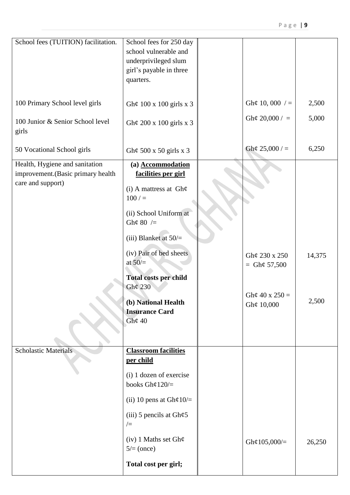| School fees (TUITION) facilitation. | School fees for 250 day                           |                   |        |
|-------------------------------------|---------------------------------------------------|-------------------|--------|
|                                     | school vulnerable and                             |                   |        |
|                                     | underprivileged slum                              |                   |        |
|                                     | girl's payable in three                           |                   |        |
|                                     | quarters.                                         |                   |        |
|                                     |                                                   |                   |        |
| 100 Primary School level girls      | Gh¢ 100 x 100 girls x 3                           | Gh¢ 10, 000 $/ =$ | 2,500  |
|                                     |                                                   |                   |        |
| 100 Junior & Senior School level    | Gh¢ 200 x 100 girls x 3                           | Gh¢ 20,000 / $=$  | 5,000  |
| girls                               |                                                   |                   |        |
|                                     |                                                   | Gh¢ 25,000 / $=$  | 6,250  |
| 50 Vocational School girls          | Gh¢ 500 x 50 girls x 3                            |                   |        |
| Health, Hygiene and sanitation      | (a) Accommodation                                 |                   |        |
| improvement. (Basic primary health  | facilities per girl                               |                   |        |
| care and support)                   | (i) A mattress at $Gh\varphi$                     |                   |        |
|                                     | $100/$ =                                          |                   |        |
|                                     | (ii) School Uniform at                            |                   |        |
|                                     | Gh¢ 80 $/=$                                       |                   |        |
|                                     |                                                   |                   |        |
|                                     | (iii) Blanket at $50/$ =                          |                   |        |
|                                     | (iv) Pair of bed sheets                           | Gh¢ 230 x 250     | 14,375 |
|                                     | at $50/$                                          | = $Gh\phi$ 57,500 |        |
|                                     | <b>Total costs per child</b>                      |                   |        |
|                                     | Gh¢ 230                                           |                   |        |
|                                     | (b) National Health                               | Gh¢ 40 x 250 =    | 2,500  |
|                                     | <b>Insurance Card</b>                             | Gh¢ 10,000        |        |
|                                     | Gh¢ $40$                                          |                   |        |
|                                     |                                                   |                   |        |
|                                     |                                                   |                   |        |
| <b>Scholastic Materials</b>         | <b>Classroom facilities</b>                       |                   |        |
|                                     | per child                                         |                   |        |
|                                     | (i) 1 dozen of exercise                           |                   |        |
|                                     | books Gh¢120/ $=$                                 |                   |        |
|                                     | (ii) 10 pens at $Gh\varphi 10/=$                  |                   |        |
|                                     | (iii) 5 pencils at $\text{Gh}\varphi$ 5<br>$/=\,$ |                   |        |
|                                     | $(iv)$ 1 Maths set Gh $\phi$<br>$5/(=$ (once)     | Gh¢105,000/=      | 26,250 |
|                                     | Total cost per girl;                              |                   |        |
|                                     |                                                   |                   |        |